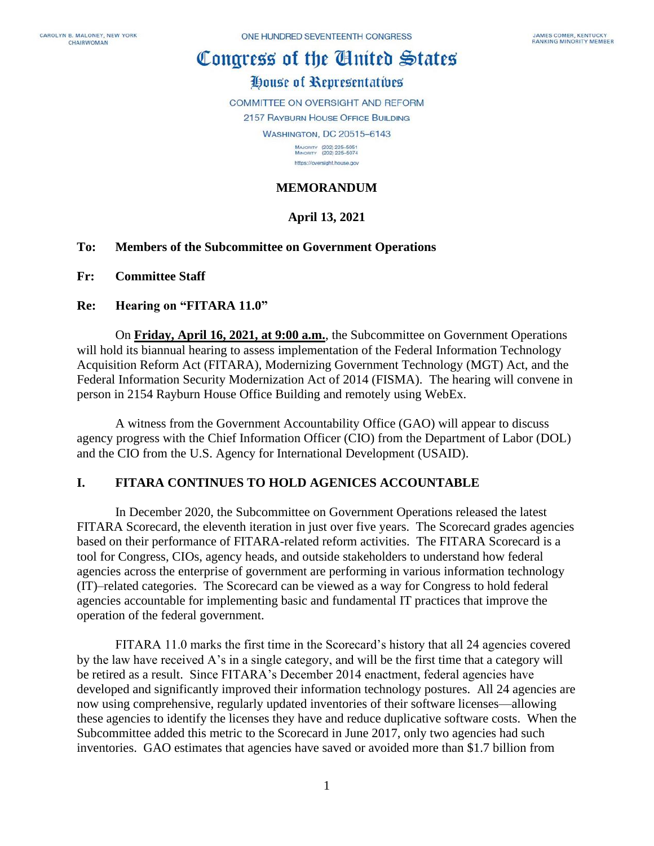# Congress of the Cinited States

# House of Representatives

COMMITTEE ON OVERSIGHT AND REFORM

2157 RAYBURN HOUSE OFFICE BUILDING

**WASHINGTON, DC 20515-6143** 

MAJORITY (202) 225-5051<br>MINORITY (202) 225-5074 https://oversight.house.gov

## **MEMORANDUM**

# **April 13, 2021**

#### **To: Members of the Subcommittee on Government Operations**

**Fr: Committee Staff**

#### **Re: Hearing on "FITARA 11.0"**

On **Friday, April 16, 2021, at 9:00 a.m.**, the Subcommittee on Government Operations will hold its biannual hearing to assess implementation of the Federal Information Technology Acquisition Reform Act (FITARA), Modernizing Government Technology (MGT) Act, and the Federal Information Security Modernization Act of 2014 (FISMA). The hearing will convene in person in 2154 Rayburn House Office Building and remotely using WebEx.

A witness from the Government Accountability Office (GAO) will appear to discuss agency progress with the Chief Information Officer (CIO) from the Department of Labor (DOL) and the CIO from the U.S. Agency for International Development (USAID).

#### **I. FITARA CONTINUES TO HOLD AGENICES ACCOUNTABLE**

In December 2020, the Subcommittee on Government Operations released the latest FITARA Scorecard, the eleventh iteration in just over five years. The Scorecard grades agencies based on their performance of FITARA-related reform activities. The FITARA Scorecard is a tool for Congress, CIOs, agency heads, and outside stakeholders to understand how federal agencies across the enterprise of government are performing in various information technology (IT)–related categories. The Scorecard can be viewed as a way for Congress to hold federal agencies accountable for implementing basic and fundamental IT practices that improve the operation of the federal government.

FITARA 11.0 marks the first time in the Scorecard's history that all 24 agencies covered by the law have received A's in a single category, and will be the first time that a category will be retired as a result. Since FITARA's December 2014 enactment, federal agencies have developed and significantly improved their information technology postures. All 24 agencies are now using comprehensive, regularly updated inventories of their software licenses—allowing these agencies to identify the licenses they have and reduce duplicative software costs. When the Subcommittee added this metric to the Scorecard in June 2017, only two agencies had such inventories. GAO estimates that agencies have saved or avoided more than \$1.7 billion from